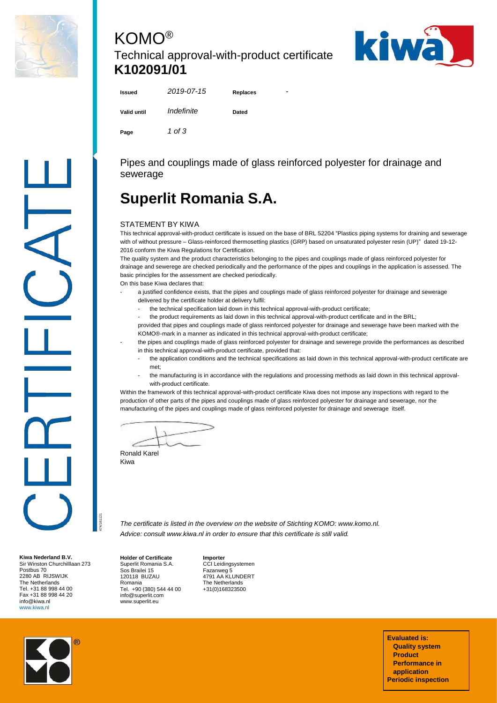

### KOMO® Technical approval-with-product certificate **K102091/01**



| <b>Issued</b> | 2019-07-15 | Replaces |
|---------------|------------|----------|
| Valid until   | Indefinite | Dated    |
| Page          | 1 of 3     |          |

Pipes and couplings made of glass reinforced polyester for drainage and sewerage

# **Superlit Romania S.A.**

#### STATEMENT BY KIWA

This technical approval-with-product certificate is issued on the base of BRL 52204 "Plastics piping systems for draining and sewerage with of without pressure – Glass-reinforced thermosetting plastics (GRP) based on unsaturated polyester resin (UP)" dated 19-12- 2016 conform the Kiwa Regulations for Certification.

The quality system and the product characteristics belonging to the pipes and couplings made of glass reinforced polyester for drainage and sewerege are checked periodically and the performance of the pipes and couplings in the application is assessed. The basic principles for the assessment are checked periodically.

On this base Kiwa declares that:

- a justified confidence exists, that the pipes and couplings made of glass reinforced polyester for drainage and sewerage delivered by the certificate holder at delivery fulfil:
	- the technical specification laid down in this technical approval-with-product certificate;

the product requirements as laid down in this technical approval-with-product certificate and in the BRL; provided that pipes and couplings made of glass reinforced polyester for drainage and sewerage have been marked with the KOMO®-mark in a manner as indicated in this technical approval-with-product certificate;

- the pipes and couplings made of glass reinforced polyester for drainage and sewerege provide the performances as described in this technical approval-with-product certificate, provided that:
	- the application conditions and the technical specifications as laid down in this technical approval-with-product certificate are met;
	- the manufacturing is in accordance with the regulations and processing methods as laid down in this technical approvalwith-product certificate.

Within the framework of this technical approval-with-product certificate Kiwa does not impose any inspections with regard to the production of other parts of the pipes and couplings made of glass reinforced polyester for drainage and sewerage, nor the manufacturing of the pipes and couplings made of glass reinforced polyester for drainage and sewerage itself.

Ronald Karel Kiwa

474/181121

**Kiwa Nederland B.V.** Sir Winston Churchilllaan 273 Postbus 70 2280 AB RIJSWIJK The Netherlands Tel. +31 88 998 44 00 Fax +31 88 998 44 20 info@kiwa.nl www.kiwa.nl

*The certificate is listed in the overview on the website of Stichting KOMO: www.komo.nl. Advice: consult www.kiwa.nl in order to ensure that this certificate is still valid.*

**Holder of Certificate** Superlit Romania S.A. Sos Brailei 15 120118 BUZAU Romania Tel. +90 (380) 544 44 00 info@superlit.com www.superlit.eu

**Importer** CCI Leidingsystemen Fazanweg 5 4791 AA KLUNDERT The Netherlands +31(0)168323500

> **Evaluated is: Quality system Product Performance in application Periodic inspection**

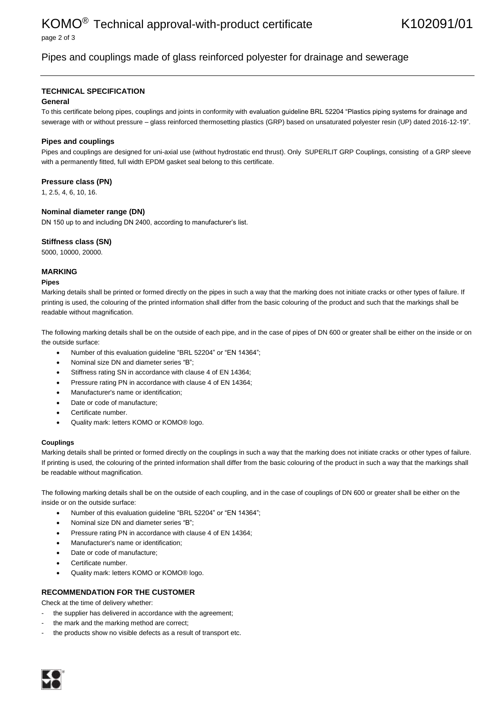## KOMO<sup>®</sup> Technical approval-with-product certificate K102091/01

page 2 of 3

### Pipes and couplings made of glass reinforced polyester for drainage and sewerage

### **TECHNICAL SPECIFICATION**

#### **General**

To this certificate belong pipes, couplings and joints in conformity with evaluation guideline BRL 52204 "Plastics piping systems for drainage and sewerage with or without pressure – glass reinforced thermosetting plastics (GRP) based on unsaturated polyester resin (UP) dated 2016-12-19".

#### **Pipes and couplings**

Pipes and couplings are designed for uni-axial use (without hydrostatic end thrust). Only SUPERLIT GRP Couplings, consisting of a GRP sleeve with a permanently fitted, full width EPDM gasket seal belong to this certificate.

#### **Pressure class (PN)**

1, 2.5, 4, 6, 10, 16.

#### **Nominal diameter range (DN)**

DN 150 up to and including DN 2400, according to manufacturer's list.

#### **Stiffness class (SN)**

5000, 10000, 20000.

#### **MARKING**

#### **Pipes**

Marking details shall be printed or formed directly on the pipes in such a way that the marking does not initiate cracks or other types of failure. If printing is used, the colouring of the printed information shall differ from the basic colouring of the product and such that the markings shall be readable without magnification.

The following marking details shall be on the outside of each pipe, and in the case of pipes of DN 600 or greater shall be either on the inside or on the outside surface:

- Number of this evaluation guideline "BRL 52204" or "EN 14364";
- Nominal size DN and diameter series "B";
- Stiffness rating SN in accordance with clause 4 of EN 14364;
- Pressure rating PN in accordance with clause 4 of EN 14364;
- Manufacturer's name or identification;
- Date or code of manufacture;
- Certificate number.
- Quality mark: letters KOMO or KOMO® logo.

#### **Couplings**

Marking details shall be printed or formed directly on the couplings in such a way that the marking does not initiate cracks or other types of failure. If printing is used, the colouring of the printed information shall differ from the basic colouring of the product in such a way that the markings shall be readable without magnification.

The following marking details shall be on the outside of each coupling, and in the case of couplings of DN 600 or greater shall be either on the inside or on the outside surface:

- Number of this evaluation guideline "BRL 52204" or "EN 14364";
- Nominal size DN and diameter series "B";
- Pressure rating PN in accordance with clause 4 of EN 14364;
- Manufacturer's name or identification;
- Date or code of manufacture;
- Certificate number.
- Quality mark: letters KOMO or KOMO® logo.

#### **RECOMMENDATION FOR THE CUSTOMER**

Check at the time of delivery whether:

- the supplier has delivered in accordance with the agreement;
- the mark and the marking method are correct;
- the products show no visible defects as a result of transport etc.